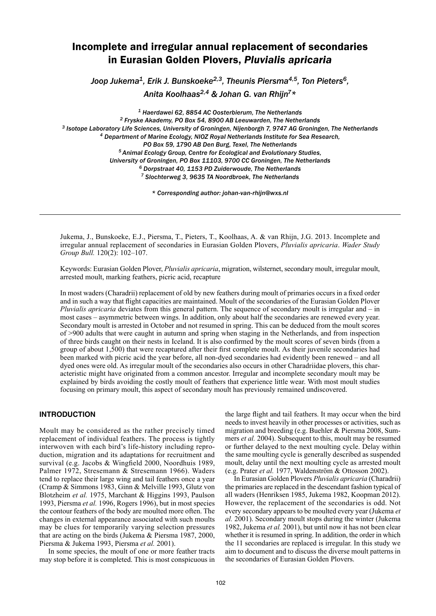# Incomplete and irregular annual replacement of secondaries in Eurasian Golden Plovers, *Pluvialis apricaria*

*Joop Jukema1, Erik J. Bunskoeke2,3, Theunis Piersma4,5, Ton Pieters6,* 

*Anita Koolhaas2,4 & Johan G. van Rhijn7\**

*1 Haerdawei 62, 8854 AC Oosterbierum, The Netherlands 2 Fryske Akademy, PO Box 54, 8900 AB Leeuwarden, The Netherlands 3 Isotope Laboratory Life Sciences, University of Groningen, Nijenborgh 7, 9747 AG Groningen, The Netherlands 4 Department of Marine Ecology, NIOZ Royal Netherlands Institute for Sea Research, PO Box 59, 1790 AB Den Burg, Texel, The Netherlands 5 Animal Ecology Group, Centre for Ecological and Evolutionary Studies, University of Groningen, PO Box 11103, 9700 CC Groningen, The Netherlands 6 Dorpstraat 40, 1153 PD Zuiderwoude, The Netherlands 7 Slochterweg 3, 9635 TA Noordbroek, The Netherlands*

*\* Corresponding author: johan-van-rhijn@wxs.nl*

Jukema, J., Bunskoeke, E.J., Piersma, T., Pieters, T., Koolhaas, A. & van Rhijn, J.G. 2013. Incomplete and irregular annual replacement of secondaries in Eurasian Golden Plovers, *Pluvialis apricaria*. *Wader Study Group Bull.* 120(2): 102–107.

Keywords: Eurasian Golden Plover, *Pluvialis apricaria*, migration, wilsternet, secondary moult, irregular moult, arrested moult, marking feathers, picric acid, recapture

In most waders (Charadrii) replacement of old by new feathers during moult of primaries occurs in a fixed order and in such a way that flight capacities are maintained. Moult of the secondaries of the Eurasian Golden Plover *Pluvialis apricaria* deviates from this general pattern. The sequence of secondary moult is irregular and – in most cases – asymmetric between wings. In addition, only about half the secondaries are renewed every year. Secondary moult is arrested in October and not resumed in spring. This can be deduced from the moult scores of >900 adults that were caught in autumn and spring when staging in the Netherlands, and from inspection of three birds caught on their nests in Iceland. It is also confirmed by the moult scores of seven birds (from a group of about 1,500) that were recaptured after their first complete moult. As their juvenile secondaries had been marked with picric acid the year before, all non-dyed secondaries had evidently been renewed – and all dyed ones were old. As irregular moult of the secondaries also occurs in other Charadriidae plovers, this characteristic might have originated from a common ancestor. Irregular and incomplete secondary moult may be explained by birds avoiding the costly moult of feathers that experience little wear. With most moult studies focusing on primary moult, this aspect of secondary moult has previously remained undiscovered.

# **INTRODUCTION**

Moult may be considered as the rather precisely timed replacement of individual feathers. The process is tightly interwoven with each bird's life-history including reproduction, migration and its adaptations for recruitment and survival (e.g. Jacobs & Wingfield 2000, Noordhuis 1989, Palmer 1972, Stresemann & Stresemann 1966). Waders tend to replace their large wing and tail feathers once a year (Cramp & Simmons 1983, Ginn & Melville 1993, Glutz von Blotzheim *et al.* 1975, Marchant & Higgins 1993, Paulson 1993, Piersma *et al.* 1996, Rogers 1996), but in most species the contour feathers of the body are moulted more often. The changes in external appearance associated with such moults may be clues for temporarily varying selection pressures that are acting on the birds (Jukema & Piersma 1987, 2000, Piersma & Jukema 1993, Piersma *et al.* 2001).

In some species, the moult of one or more feather tracts may stop before it is completed. This is most conspicuous in

the large flight and tail feathers. It may occur when the bird needs to invest heavily in other processes or activities, such as migration and breeding (e.g. Buehler & Piersma 2008, Summers *et al.* 2004). Subsequent to this, moult may be resumed or further delayed to the next moulting cycle. Delay within the same moulting cycle is generally described as suspended moult, delay until the next moulting cycle as arrested moult (e.g. Prater *et al.* 1977, Waldenström & Ottosson 2002).

In Eurasian Golden Plovers *Pluvialis apricaria* (Charadrii) the primaries are replaced in the descendant fashion typical of all waders (Henriksen 1985, Jukema 1982, Koopman 2012). However, the replacement of the secondaries is odd. Not every secondary appears to be moulted every year (Jukema *et al.* 2001). Secondary moult stops during the winter (Jukema 1982, Jukema *et al.* 2001), but until now it has not been clear whether it is resumed in spring. In addition, the order in which the 11 secondaries are replaced is irregular. In this study we aim to document and to discuss the diverse moult patterns in the secondaries of Eurasian Golden Plovers.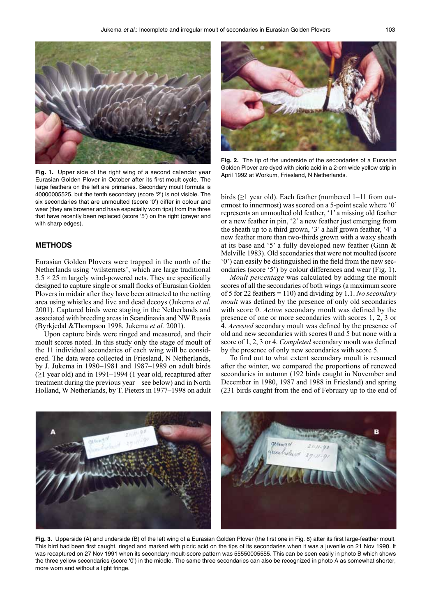

**Fig. 1.** Upper side of the right wing of a second calendar year Eurasian Golden Plover in October after its first moult cycle. The large feathers on the left are primaries. Secondary moult formula is 40000005525, but the tenth secondary (score '2') is not visible. The six secondaries that are unmoulted (score '0') differ in colour and wear (they are browner and have especially worn tips) from the three that have recently been replaced (score '5') on the right (greyer and with sharp edges).

# **METHODS**

Eurasian Golden Plovers were trapped in the north of the Netherlands using 'wilsternets', which are large traditional  $3.5 \times 25$  m largely wind-powered nets. They are specifically designed to capture single or small flocks of Eurasian Golden Plovers in midair after they have been attracted to the netting area using whistles and live and dead decoys (Jukema *et al.* 2001). Captured birds were staging in the Netherlands and associated with breeding areas in Scandinavia and NW Russia (Byrkjedal &Thompson 1998, Jukema *et al.* 2001).

Upon capture birds were ringed and measured, and their moult scores noted. In this study only the stage of moult of the 11 individual secondaries of each wing will be considered. The data were collected in Friesland, N Netherlands, by J. Jukema in 1980–1981 and 1987–1989 on adult birds  $(\geq)$  year old) and in 1991–1994 (1 year old, recaptured after treatment during the previous year – see below) and in North Holland, W Netherlands, by T. Pieters in 1977–1998 on adult



**Fig. 2.** The tip of the underside of the secondaries of a Eurasian Golden Plover are dyed with picric acid in a 2-cm wide yellow strip in April 1992 at Workum, Friesland, N Netherlands.

birds (≥1 year old). Each feather (numbered 1–11 from outermost to innermost) was scored on a 5-point scale where '0' represents an unmoulted old feather, '1' a missing old feather or a new feather in pin, '2' a new feather just emerging from the sheath up to a third grown, '3' a half grown feather, '4' a new feather more than two-thirds grown with a waxy sheath at its base and '5' a fully developed new feather (Ginn & Melville 1983). Old secondaries that were not moulted (score '0') can easily be distinguished in the field from the new secondaries (score '5') by colour differences and wear (Fig. 1).

*Moult percentage* was calculated by adding the moult scores of all the secondaries of both wings (a maximum score of 5 for 22 feathers = 110) and dividing by 1.1. *No secondary moult* was defined by the presence of only old secondaries with score 0. *Active* secondary moult was defined by the presence of one or more secondaries with scores 1, 2, 3 or 4. *Arrested* secondary moult was defined by the presence of old and new secondaries with scores 0 and 5 but none with a score of 1, 2, 3 or 4. *Completed* secondary moult was defined by the presence of only new secondaries with score 5.

To find out to what extent secondary moult is resumed after the winter, we compared the proportions of renewed secondaries in autumn (192 birds caught in November and December in 1980, 1987 and 1988 in Friesland) and spring (231 birds caught from the end of February up to the end of



**Fig. 3.** Upperside (A) and underside (B) of the left wing of a Eurasian Golden Plover (the first one in Fig. 8) after its first large-feather moult. This bird had been first caught, ringed and marked with picric acid on the tips of its secondaries when it was a juvenile on 21 Nov 1990. It was recaptured on 27 Nov 1991 when its secondary moult-score pattern was 55550005555. This can be seen easily in photo B which shows the three yellow secondaries (score '0') in the middle. The same three secondaries can also be recognized in photo A as somewhat shorter, more worn and without a light fringe.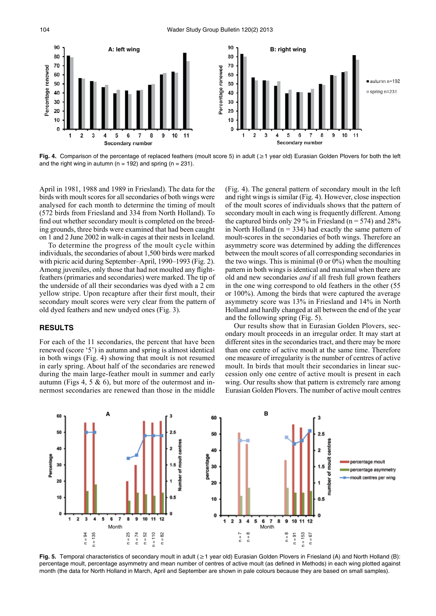

**Fig. 4.** Comparison of the percentage of replaced feathers (moult score 5) in adult (≥1 year old) Eurasian Golden Plovers for both the left and the right wing in autumn ( $n = 192$ ) and spring ( $n = 231$ ).

April in 1981, 1988 and 1989 in Friesland). The data for the birds with moult scores for all secondaries of both wings were analysed for each month to determine the timing of moult (572 birds from Friesland and 334 from North Holland). To find out whether secondary moult is completed on the breeding grounds, three birds were examined that had been caught on 1 and 2 June 2002 in walk-in cages at their nests in Iceland.

To determine the progress of the moult cycle within individuals, the secondaries of about 1,500 birds were marked with picric acid during September–April, 1990–1993 (Fig. 2). Among juveniles, only those that had not moulted any flightfeathers (primaries and secondaries) were marked. The tip of the underside of all their secondaries was dyed with a 2 cm yellow stripe. Upon recapture after their first moult, their secondary moult scores were very clear from the pattern of old dyed feathers and new undyed ones (Fig. 3).

#### **RESULTS**

For each of the 11 secondaries, the percent that have been renewed (score '5') in autumn and spring is almost identical in both wings (Fig. 4) showing that moult is not resumed in early spring. About half of the secondaries are renewed during the main large-feather moult in summer and early autumn (Figs 4, 5  $\&$  6), but more of the outermost and innermost secondaries are renewed than those in the middle (Fig. 4). The general pattern of secondary moult in the left and right wings is similar (Fig. 4). However, close inspection of the moult scores of individuals shows that the pattern of secondary moult in each wing is frequently different. Among the captured birds only 29 % in Friesland ( $n = 574$ ) and 28% in North Holland ( $n = 334$ ) had exactly the same pattern of moult-scores in the secondaries of both wings. Therefore an asymmetry score was determined by adding the differences between the moult scores of all corresponding secondaries in the two wings. This is minimal  $(0 \text{ or } 0\%)$  when the moulting pattern in both wings is identical and maximal when there are old and new secondaries *and* if all fresh full grown feathers in the one wing correspond to old feathers in the other (55 or 100%). Among the birds that were captured the average asymmetry score was 13% in Friesland and 14% in North Holland and hardly changed at all between the end of the year and the following spring (Fig. 5).

Our results show that in Eurasian Golden Plovers, secondary moult proceeds in an irregular order. It may start at different sites in the secondaries tract, and there may be more than one centre of active moult at the same time. Therefore one measure of irregularity is the number of centres of active moult. In birds that moult their secondaries in linear succession only one centre of active moult is present in each wing. Our results show that pattern is extremely rare among Eurasian Golden Plovers. The number of active moult centres



**Fig. 5.** Temporal characteristics of secondary moult in adult (≥1 year old) Eurasian Golden Plovers in Friesland (A) and North Holland (B): percentage moult, percentage asymmetry and mean number of centres of active moult (as defined in Methods) in each wing plotted against month (the data for North Holland in March, April and September are shown in pale colours because they are based on small samples).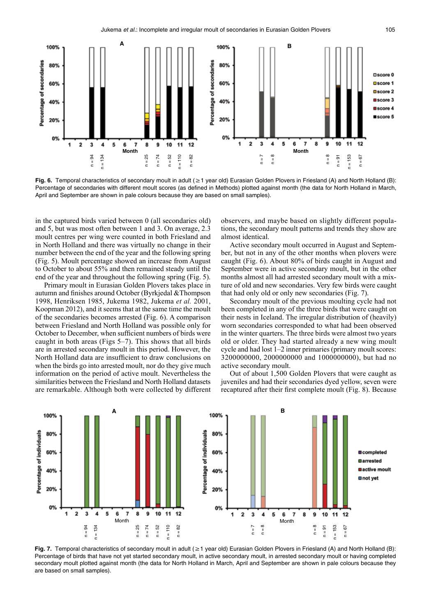

**Fig. 6.** Temporal characteristics of secondary moult in adult (≥1 year old) Eurasian Golden Plovers in Friesland (A) and North Holland (B): Percentage of secondaries with different moult scores (as defined in Methods) plotted against month (the data for North Holland in March, April and September are shown in pale colours because they are based on small samples).

in the captured birds varied between 0 (all secondaries old) and 5, but was most often between 1 and 3. On average, 2.3 moult centres per wing were counted in both Friesland and in North Holland and there was virtually no change in their number between the end of the year and the following spring (Fig. 5). Moult percentage showed an increase from August to October to about 55% and then remained steady until the end of the year and throughout the following spring (Fig. 5).

Primary moult in Eurasian Golden Plovers takes place in autumn and finishes around October (Byrkjedal &Thompson 1998, Henriksen 1985, Jukema 1982, Jukema *et al.* 2001, Koopman 2012), and it seems that at the same time the moult of the secondaries becomes arrested (Fig. 6). A comparison between Friesland and North Holland was possible only for October to December, when sufficient numbers of birds were caught in both areas (Figs 5–7). This shows that all birds are in arrested secondary moult in this period. However, the North Holland data are insufficient to draw conclusions on when the birds go into arrested moult, nor do they give much information on the period of active moult. Nevertheless the similarities between the Friesland and North Holland datasets are remarkable. Although both were collected by different observers, and maybe based on slightly different populations, the secondary moult patterns and trends they show are almost identical.

Active secondary moult occurred in August and September, but not in any of the other months when plovers were caught (Fig. 6). About 80% of birds caught in August and September were in active secondary moult, but in the other months almost all had arrested secondary moult with a mixture of old and new secondaries. Very few birds were caught that had only old or only new secondaries (Fig. 7).

Secondary moult of the previous moulting cycle had not been completed in any of the three birds that were caught on their nests in Iceland. The irregular distribution of (heavily) worn secondaries corresponded to what had been observed in the winter quarters. The three birds were almost two years old or older. They had started already a new wing moult cycle and had lost 1–2 inner primaries (primary moult scores: 3200000000, 2000000000 and 1000000000), but had no active secondary moult.

Out of about 1,500 Golden Plovers that were caught as juveniles and had their secondaries dyed yellow, seven were recaptured after their first complete moult (Fig. 8). Because



**Fig. 7.** Temporal characteristics of secondary moult in adult (≥1 year old) Eurasian Golden Plovers in Friesland (A) and North Holland (B): Percentage of birds that have not yet started secondary moult, in active secondary moult, in arrested secondary moult or having completed secondary moult plotted against month (the data for North Holland in March, April and September are shown in pale colours because they are based on small samples).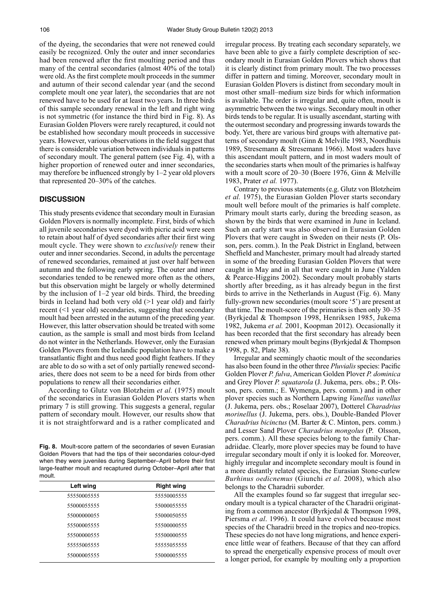of the dyeing, the secondaries that were not renewed could easily be recognized. Only the outer and inner secondaries had been renewed after the first moulting period and thus many of the central secondaries (almost 40% of the total) were old. As the first complete moult proceeds in the summer and autumn of their second calendar year (and the second complete moult one year later), the secondaries that are not renewed have to be used for at least two years. In three birds of this sample secondary renewal in the left and right wing is not symmetric (for instance the third bird in Fig. 8). As Eurasian Golden Plovers were rarely recaptured, it could not be established how secondary moult proceeds in successive years. However, various observations in the field suggest that there is considerable variation between individuals in patterns of secondary moult. The general pattern (see Fig. 4), with a higher proportion of renewed outer and inner secondaries, may therefore be influenced strongly by 1–2 year old plovers that represented 20–30% of the catches.

### **DISCUSSION**

This study presents evidence that secondary moult in Eurasian Golden Plovers is normally incomplete. First, birds of which all juvenile secondaries were dyed with picric acid were seen to retain about half of dyed secondaries after their first wing moult cycle. They were shown to *exclusively* renew their outer and inner secondaries. Second, in adults the percentage of renewed secondaries, remained at just over half between autumn and the following early spring. The outer and inner secondaries tended to be renewed more often as the others, but this observation might be largely or wholly determined by the inclusion of 1–2 year old birds. Third, the breeding birds in Iceland had both very old (>1 year old) and fairly recent (<1 year old) secondaries, suggesting that secondary moult had been arrested in the autumn of the preceding year. However, this latter observation should be treated with some caution, as the sample is small and most birds from Iceland do not winter in the Netherlands. However, only the Eurasian Golden Plovers from the Icelandic population have to make a transatlantic flight and thus need good flight feathers. If they are able to do so with a set of only partially renewed secondaries, there does not seem to be a need for birds from other populations to renew all their secondaries either.

According to Glutz von Blotzheim *et al.* (1975) moult of the secondaries in Eurasian Golden Plovers starts when primary 7 is still growing. This suggests a general, regular pattern of secondary moult. However, our results show that it is not straightforward and is a rather complicated and

**Fig. 8.** Moult-score pattern of the secondaries of seven Eurasian Golden Plovers that had the tips of their secondaries colour-dyed when they were juveniles during September–April before their first large-feather moult and recaptured during October–April after that moult.

| Left wing   | <b>Right wing</b> |
|-------------|-------------------|
| 55550005555 | 55550005555       |
| 55000055555 | 55000055555       |
| 55000000055 | 55000050555       |
| 55500005555 | 55500000555       |
| 55500000555 | 55500000555       |
| 55555005555 | 55555055555       |
| 55000005555 | 55000005555       |

irregular process. By treating each secondary separately, we have been able to give a fairly complete description of secondary moult in Eurasian Golden Plovers which shows that it is clearly distinct from primary moult. The two processes differ in pattern and timing. Moreover, secondary moult in Eurasian Golden Plovers is distinct from secondary moult in most other small–medium size birds for which information is available. The order is irregular and, quite often, moult is asymmetric between the two wings. Secondary moult in other birds tends to be regular. It is usually ascendant, starting with the outermost secondary and progressing inwards towards the body. Yet, there are various bird groups with alternative patterns of secondary moult (Ginn & Melville 1983, Noordhuis 1989, Stresemann & Stresemann 1966). Most waders have this ascendant moult pattern, and in most waders moult of the secondaries starts when moult of the primaries is halfway with a moult score of 20–30 (Boere 1976, Ginn & Melville 1983, Prater *et al.* 1977).

Contrary to previous statements (e.g. Glutz von Blotzheim *et al.* 1975), the Eurasian Golden Plover starts secondary moult well before moult of the primaries is half complete. Primary moult starts early, during the breeding season, as shown by the birds that were examined in June in Iceland. Such an early start was also observed in Eurasian Golden Plovers that were caught in Sweden on their nests (P. Olsson, pers. comm.). In the Peak District in England, between Sheffield and Manchester, primary moult had already started in some of the breeding Eurasian Golden Plovers that were caught in May and in all that were caught in June (Yalden & Pearce-Higgins 2002). Secondary moult probably starts shortly after breeding, as it has already begun in the first birds to arrive in the Netherlands in August (Fig. 6). Many fully-grown new secondaries (moult score '5') are present at that time. The moult-score of the primaries is then only 30–35 (Byrkjedal & Thompson 1998, Henriksen 1985, Jukema 1982, Jukema *et al.* 2001, Koopman 2012). Occasionally it has been recorded that the first secondary has already been renewed when primary moult begins (Byrkjedal & Thompson 1998, p. 82, Plate 38).

Irregular and seemingly chaotic moult of the secondaries has also been found in the other three *Pluvialis* species: Pacific Golden Plover *P. fulva*, American Golden Plover *P. dominica* and Grey Plover *P. squatarola* (J. Jukema, pers. obs.; P. Olsson, pers. comm.; E. Wymenga, pers. comm.) and in other plover species such as Northern Lapwing *Vanellus vanellus* (J. Jukema, pers. obs.; Roselaar 2007), Dotterel *Charadrius morinellus* (J. Jukema, pers. obs.), Double-Banded Plover *Charadrius bicinctus* (M. Barter & C. Minton, pers. comm.) and Lesser Sand Plover *Charadrius mongolus* (P. Olsson, pers. comm.). All these species belong to the family Charadriidae. Clearly, more plover species may be found to have irregular secondary moult if only it is looked for. Moreover, highly irregular and incomplete secondary moult is found in a more distantly related species, the Eurasian Stone-curlew *Burhinus oedicnemus* (Giunchi *et al.* 2008), which also belongs to the Charadrii suborder.

All the examples found so far suggest that irregular secondary moult is a typical character of the Charadrii originating from a common ancestor (Byrkjedal & Thompson 1998, Piersma *et al*. 1996). It could have evolved because most species of the Charadrii breed in the tropics and neo-tropics. These species do not have long migrations, and hence experience little wear of feathers. Because of that they can afford to spread the energetically expensive process of moult over a longer period, for example by moulting only a proportion